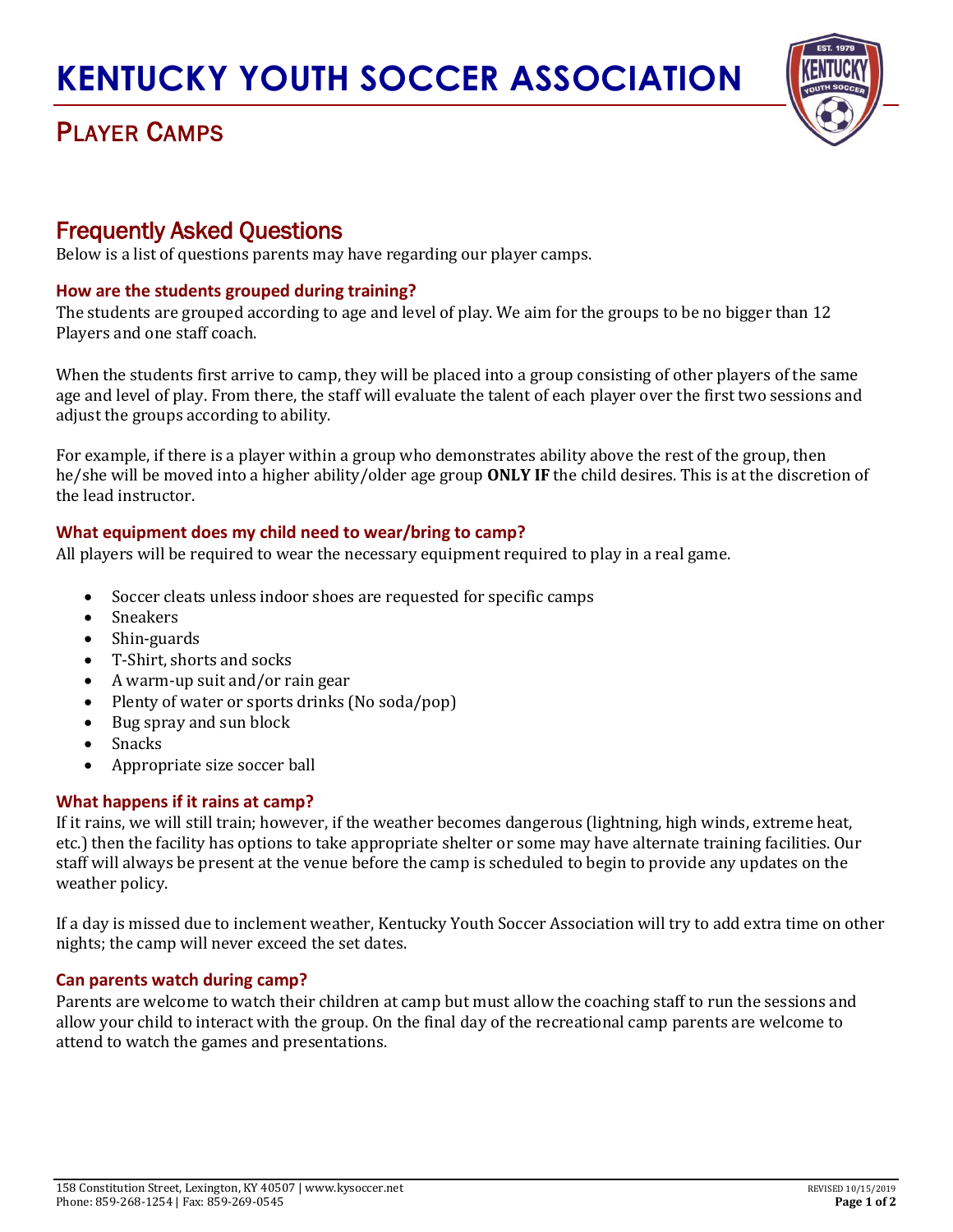## **KENTUCKY YOUTH SOCCER ASSOCIATION**



## PLAYER CAMPS

### Frequently Asked Questions

Below is a list of questions parents may have regarding our player camps.

#### **How are the students grouped during training?**

The students are grouped according to age and level of play. We aim for the groups to be no bigger than 12 Players and one staff coach.

When the students first arrive to camp, they will be placed into a group consisting of other players of the same age and level of play. From there, the staff will evaluate the talent of each player over the first two sessions and adjust the groups according to ability.

For example, if there is a player within a group who demonstrates ability above the rest of the group, then he/she will be moved into a higher ability/older age group **ONLY IF** the child desires. This is at the discretion of the lead instructor.

#### **What equipment does my child need to wear/bring to camp?**

All players will be required to wear the necessary equipment required to play in a real game.

- Soccer cleats unless indoor shoes are requested for specific camps
- Sneakers
- Shin-guards
- T-Shirt, shorts and socks
- A warm-up suit and/or rain gear
- Plenty of water or sports drinks (No soda/pop)
- Bug spray and sun block
- Snacks
- Appropriate size soccer ball

#### **What happens if it rains at camp?**

If it rains, we will still train; however, if the weather becomes dangerous (lightning, high winds, extreme heat, etc.) then the facility has options to take appropriate shelter or some may have alternate training facilities. Our staff will always be present at the venue before the camp is scheduled to begin to provide any updates on the weather policy.

If a day is missed due to inclement weather, Kentucky Youth Soccer Association will try to add extra time on other nights; the camp will never exceed the set dates.

#### **Can parents watch during camp?**

Parents are welcome to watch their children at camp but must allow the coaching staff to run the sessions and allow your child to interact with the group. On the final day of the recreational camp parents are welcome to attend to watch the games and presentations.